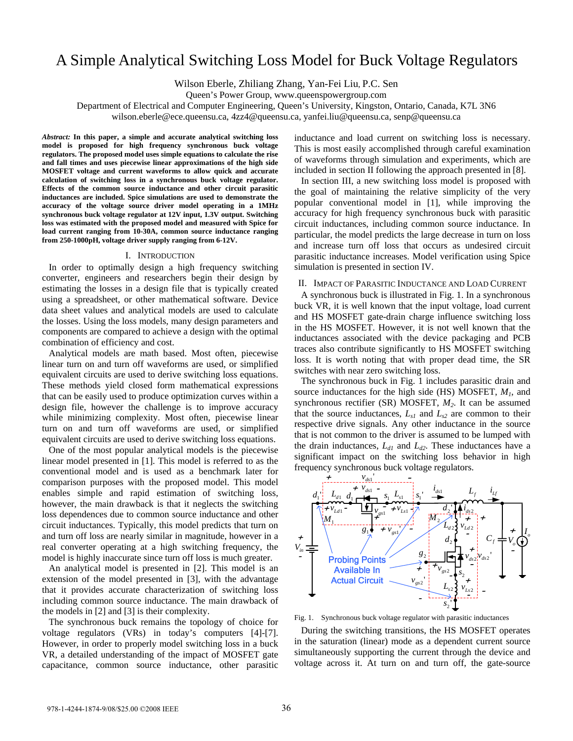# A Simple Analytical Switching Loss Model for Buck Voltage Regulators

Wilson Eberle, Zhiliang Zhang, Yan-Fei Liu, P.C. Sen

Queen's Power Group, www.queenspowergroup.com

Department of Electrical and Computer Engineering, Queen's University, Kingston, Ontario, Canada, K7L 3N6

wilson.eberle@ece.queensu.ca, 4zz4@queensu.ca, yanfei.liu@queensu.ca, senp@queensu.ca

*Abstract:* **In this paper, a simple and accurate analytical switching loss model is proposed for high frequency synchronous buck voltage regulators. The proposed model uses simple equations to calculate the rise and fall times and uses piecewise linear approximations of the high side MOSFET voltage and current waveforms to allow quick and accurate calculation of switching loss in a synchronous buck voltage regulator. Effects of the common source inductance and other circuit parasitic inductances are included. Spice simulations are used to demonstrate the accuracy of the voltage source driver model operating in a 1MHz synchronous buck voltage regulator at 12V input, 1.3V output. Switching loss was estimated with the proposed model and measured with Spice for load current ranging from 10-30A, common source inductance ranging from 250-1000pH, voltage driver supply ranging from 6-12V.** 

#### I. INTRODUCTION

In order to optimally design a high frequency switching converter, engineers and researchers begin their design by estimating the losses in a design file that is typically created using a spreadsheet, or other mathematical software. Device data sheet values and analytical models are used to calculate the losses. Using the loss models, many design parameters and components are compared to achieve a design with the optimal combination of efficiency and cost.

Analytical models are math based. Most often, piecewise linear turn on and turn off waveforms are used, or simplified equivalent circuits are used to derive switching loss equations. These methods yield closed form mathematical expressions that can be easily used to produce optimization curves within a design file, however the challenge is to improve accuracy while minimizing complexity. Most often, piecewise linear turn on and turn off waveforms are used, or simplified equivalent circuits are used to derive switching loss equations.

One of the most popular analytical models is the piecewise linear model presented in [1]. This model is referred to as the conventional model and is used as a benchmark later for comparison purposes with the proposed model. This model enables simple and rapid estimation of switching loss, however, the main drawback is that it neglects the switching loss dependences due to common source inductance and other circuit inductances. Typically, this model predicts that turn on and turn off loss are nearly similar in magnitude, however in a real converter operating at a high switching frequency, the model is highly inaccurate since turn off loss is much greater.

An analytical model is presented in [2]. This model is an extension of the model presented in [3], with the advantage that it provides accurate characterization of switching loss including common source inductance. The main drawback of the models in [2] and [3] is their complexity.

The synchronous buck remains the topology of choice for voltage regulators (VRs) in today's computers [4]-[7]. However, in order to properly model switching loss in a buck VR, a detailed understanding of the impact of MOSFET gate capacitance, common source inductance, other parasitic

inductance and load current on switching loss is necessary. This is most easily accomplished through careful examination of waveforms through simulation and experiments, which are included in section II following the approach presented in [8].

In section III, a new switching loss model is proposed with the goal of maintaining the relative simplicity of the very popular conventional model in [1], while improving the accuracy for high frequency synchronous buck with parasitic circuit inductances, including common source inductance. In particular, the model predicts the large decrease in turn on loss and increase turn off loss that occurs as undesired circuit parasitic inductance increases. Model verification using Spice simulation is presented in section IV.

### II. IMPACT OF PARASITIC INDUCTANCE AND LOAD CURRENT

A synchronous buck is illustrated in Fig. 1. In a synchronous buck VR, it is well known that the input voltage, load current and HS MOSFET gate-drain charge influence switching loss in the HS MOSFET. However, it is not well known that the inductances associated with the device packaging and PCB traces also contribute significantly to HS MOSFET switching loss. It is worth noting that with proper dead time, the SR switches with near zero switching loss.

The synchronous buck in Fig. 1 includes parasitic drain and source inductances for the high side (HS) MOSFET, *M1*, and synchronous rectifier (SR) MOSFET, *M2*. It can be assumed that the source inductances,  $L_{s1}$  and  $L_{s2}$  are common to their respective drive signals. Any other inductance in the source that is not common to the driver is assumed to be lumped with the drain inductances,  $L_{d1}$  and  $L_{d2}$ . These inductances have a significant impact on the switching loss behavior in high frequency synchronous buck voltage regulators.



Fig. 1. Synchronous buck voltage regulator with parasitic inductances

During the switching transitions, the HS MOSFET operates in the saturation (linear) mode as a dependent current source simultaneously supporting the current through the device and voltage across it. At turn on and turn off, the gate-source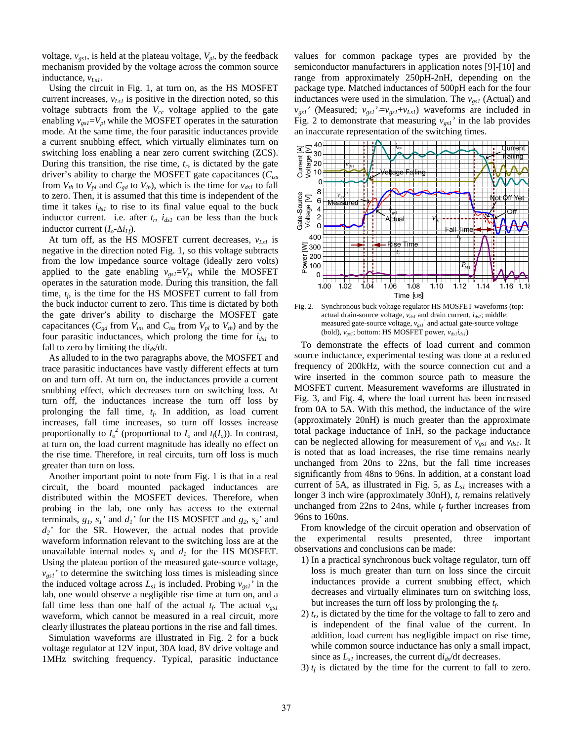voltage,  $v_{gs1}$ , is held at the plateau voltage,  $V_{pl}$ , by the feedback mechanism provided by the voltage across the common source inductance, *vLs1*.

Using the circuit in Fig. 1, at turn on, as the HS MOSFET current increases,  $v_{Ls1}$  is positive in the direction noted, so this voltage subtracts from the  $V_{cc}$  voltage applied to the gate enabling  $v_{gsI} = V_{pl}$  while the MOSFET operates in the saturation mode. At the same time, the four parasitic inductances provide a current snubbing effect, which virtually eliminates turn on switching loss enabling a near zero current switching (ZCS). During this transition, the rise time,  $t_r$ , is dictated by the gate driver's ability to charge the MOSFET gate capacitances (*Ciss* from  $V_{th}$  to  $V_{pl}$  and  $C_{gd}$  to  $V_{in}$ ), which is the time for  $v_{ds1}$  to fall to zero. Then, it is assumed that this time is independent of the time it takes  $i_{ds}$  to rise to its final value equal to the buck inductor current. i.e. after  $t_r$ ,  $i_{ds1}$  can be less than the buck inductor current (*Io*-Δ*iLf*).

At turn off, as the HS MOSFET current decreases,  $v_{Ls1}$  is negative in the direction noted Fig. 1, so this voltage subtracts from the low impedance source voltage (ideally zero volts) applied to the gate enabling  $v_{gs1} = V_{pl}$  while the MOSFET operates in the saturation mode. During this transition, the fall time,  $t_f$ , is the time for the HS MOSFET current to fall from the buck inductor current to zero. This time is dictated by both the gate driver's ability to discharge the MOSFET gate capacitances ( $C_{gd}$  from  $V_{in}$ , and  $C_{iss}$  from  $V_{pl}$  to  $V_{th}$ ) and by the four parasitic inductances, which prolong the time for  $i_{ds}$  to fall to zero by limiting the  $di_{ds}/dt$ .

As alluded to in the two paragraphs above, the MOSFET and trace parasitic inductances have vastly different effects at turn on and turn off. At turn on, the inductances provide a current snubbing effect, which decreases turn on switching loss. At turn off, the inductances increase the turn off loss by prolonging the fall time,  $t_f$ . In addition, as load current increases, fall time increases, so turn off losses increase proportionally to  $I_o^2$  (proportional to  $I_o$  and  $t_f(I_o)$ ). In contrast, at turn on, the load current magnitude has ideally no effect on the rise time. Therefore, in real circuits, turn off loss is much greater than turn on loss.

Another important point to note from Fig. 1 is that in a real circuit, the board mounted packaged inductances are distributed within the MOSFET devices. Therefore, when probing in the lab, one only has access to the external terminals,  $g_1$ ,  $s_1'$  and  $d_1'$  for the HS MOSFET and  $g_2$ ,  $s_2'$  and *d2'* for the SR. However, the actual nodes that provide waveform information relevant to the switching loss are at the unavailable internal nodes  $s_l$  and  $d_l$  for the HS MOSFET. Using the plateau portion of the measured gate-source voltage,  $v_{gs1}$ <sup>'</sup> to determine the switching loss times is misleading since the induced voltage across  $L_{s1}$  is included. Probing  $v_{gs1}$ ' in the lab, one would observe a negligible rise time at turn on, and a fall time less than one half of the actual  $t_f$ . The actual  $v_{gs1}$ waveform, which cannot be measured in a real circuit, more clearly illustrates the plateau portions in the rise and fall times.

Simulation waveforms are illustrated in Fig. 2 for a buck voltage regulator at 12V input, 30A load, 8V drive voltage and 1MHz switching frequency. Typical, parasitic inductance values for common package types are provided by the semiconductor manufacturers in application notes [9]-[10] and range from approximately 250pH-2nH, depending on the package type. Matched inductances of 500pH each for the four inductances were used in the simulation. The  $v_{gs1}$  (Actual) and  $v_{gs1}$ ' (Measured;  $v_{gs1}$ '= $v_{gs1}+v_{Ls1}$ ) waveforms are included in Fig. 2 to demonstrate that measuring  $v_{gs1}$ ' in the lab provides an inaccurate representation of the switching times.



Fig. 2. Synchronous buck voltage regulator HS MOSFET waveforms (top: actual drain-source voltage, *vds1* and drain current, *ids1*; middle: measured gate-source voltage, *vgs1'* and actual gate-source voltage (bold), *vgs1*; bottom: HS MOSFET power, *vds1ids1*)

To demonstrate the effects of load current and common source inductance, experimental testing was done at a reduced frequency of 200kHz, with the source connection cut and a wire inserted in the common source path to measure the MOSFET current. Measurement waveforms are illustrated in Fig. 3, and Fig. 4, where the load current has been increased from 0A to 5A. With this method, the inductance of the wire (approximately 20nH) is much greater than the approximate total package inductance of 1nH, so the package inductance can be neglected allowing for measurement of  $v_{gs1}$  and  $v_{ds1}$ . It is noted that as load increases, the rise time remains nearly unchanged from 20ns to 22ns, but the fall time increases significantly from 48ns to 96ns. In addition, at a constant load current of 5A, as illustrated in Fig. 5, as  $L_{s1}$  increases with a longer 3 inch wire (approximately 30nH),  $t_r$  remains relatively unchanged from 22ns to 24ns, while  $t_f$  further increases from 96ns to 160ns.

From knowledge of the circuit operation and observation of the experimental results presented, three important observations and conclusions can be made:

- 1) In a practical synchronous buck voltage regulator, turn off loss is much greater than turn on loss since the circuit inductances provide a current snubbing effect, which decreases and virtually eliminates turn on switching loss, but increases the turn off loss by prolonging the *tf*.
- 2) *tr*, is dictated by the time for the voltage to fall to zero and is independent of the final value of the current. In addition, load current has negligible impact on rise time, while common source inductance has only a small impact, since as  $L_{s1}$  increases, the current  $di_{ds}/dt$  decreases.
- 3)  $t_f$  is dictated by the time for the current to fall to zero.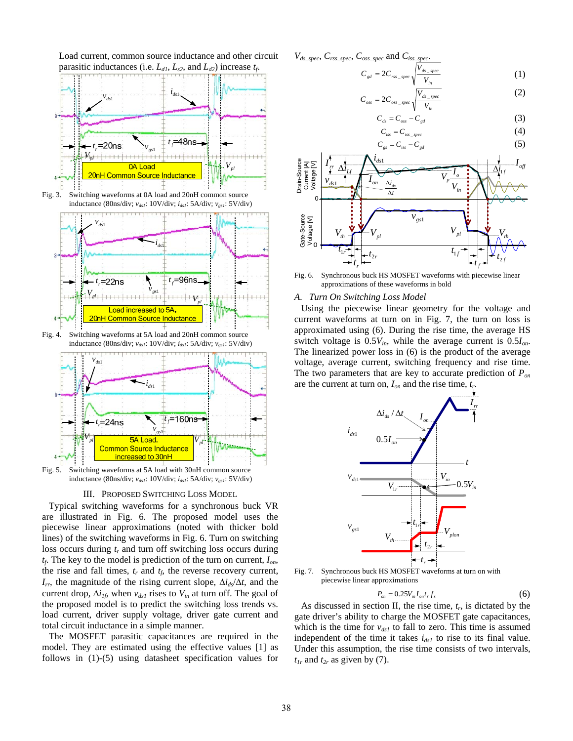

### III. PROPOSED SWITCHING LOSS MODEL

Typical switching waveforms for a synchronous buck VR are illustrated in Fig. 6. The proposed model uses the piecewise linear approximations (noted with thicker bold lines) of the switching waveforms in Fig. 6. Turn on switching loss occurs during  $t_r$  and turn off switching loss occurs during *tf*. The key to the model is prediction of the turn on current, *Ion*, the rise and fall times,  $t_r$  and  $t_f$ , the reverse recovery current,  $I_{rr}$ , the magnitude of the rising current slope,  $\Delta i_{ds}/\Delta t$ , and the current drop,  $\Delta i_{1f}$ , when  $v_{ds1}$  rises to  $V_{in}$  at turn off. The goal of the proposed model is to predict the switching loss trends vs. load current, driver supply voltage, driver gate current and total circuit inductance in a simple manner.

The MOSFET parasitic capacitances are required in the model. They are estimated using the effective values [1] as follows in (1)-(5) using datasheet specification values for *Vds\_spec*, *Crss\_spec*, *Coss\_spec* and *Ciss\_spec*.

$$
C_{sd} = 2C_{rss\_spec} \sqrt{\frac{V_{ds\_spec}}{V_{in}}} \tag{1}
$$

$$
C_{\text{oss}} = 2C_{\text{oss\_spec}} \sqrt{\frac{V_{ds\_spec}}{V_{\text{in}}}}
$$
 (2)

$$
C_{ds} = C_{oss} - C_{gd}
$$
\n
$$
C_{iss} = C_{iss\_spec}
$$
\n(3)

$$
C_{gs} = C_{iss} - C_{gd} \tag{5}
$$



Fig. 6. Synchronous buck HS MOSFET waveforms with piecewise linear approximations of these waveforms in bold

#### *A. Turn On Switching Loss Model*

Using the piecewise linear geometry for the voltage and current waveforms at turn on in Fig. 7, the turn on loss is approximated using (6). During the rise time, the average HS switch voltage is  $0.5V_{in}$ , while the average current is  $0.5I_{on}$ . The linearized power loss in (6) is the product of the average voltage, average current, switching frequency and rise time. The two parameters that are key to accurate prediction of *Pon* are the current at turn on, *Ion* and the rise time, *tr*.



Fig. 7. Synchronous buck HS MOSFET waveforms at turn on with piecewise linear approximations

$$
P_{on} = 0.25 V_{in} I_{on} t_r f_s \tag{6}
$$

As discussed in section II, the rise time, *tr*, is dictated by the gate driver's ability to charge the MOSFET gate capacitances, which is the time for  $v_{ds1}$  to fall to zero. This time is assumed independent of the time it takes  $i_{ds}$  to rise to its final value. Under this assumption, the rise time consists of two intervals,  $t_{1r}$  and  $t_{2r}$  as given by (7).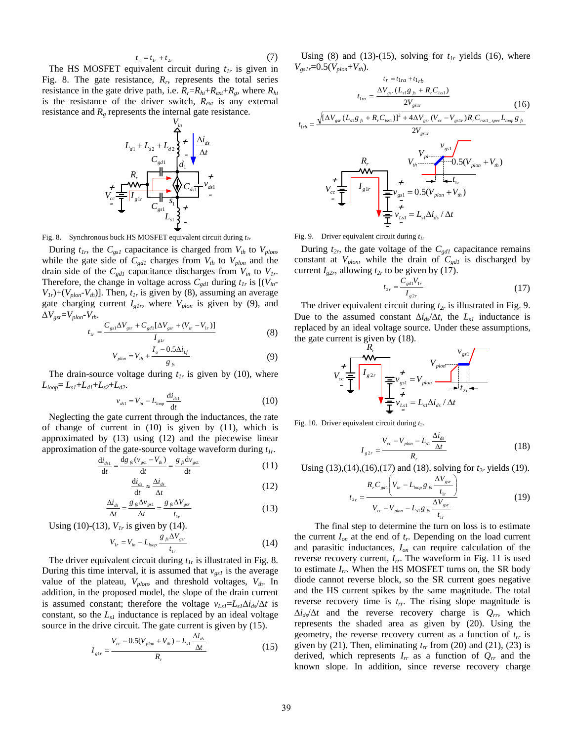$$
t_r = t_{1r} + t_{2r} \tag{7}
$$

The HS MOSFET equivalent circuit during  $t_{1r}$  is given in Fig. 8. The gate resistance,  $R_r$ , represents the total series resistance in the gate drive path, i.e.  $R_r = R_{hi} + R_{ext} + R_g$ , where  $R_{hi}$ is the resistance of the driver switch, *Rext* is any external resistance and  $R_g$  represents the internal gate resistance.



Fig. 8. Synchronous buck HS MOSFET equivalent circuit during  $t_{1r}$ 

During  $t_{1r}$ , the  $C_{gs1}$  capacitance is charged from  $V_{th}$  to  $V_{plon}$ , while the gate side of  $C_{gdI}$  charges from  $V_{th}$  to  $V_{plon}$  and the drain side of the  $C_{gdI}$  capacitance discharges from  $V_{in}$  to  $V_{Ir}$ . Therefore, the change in voltage across  $C_{gdl}$  during  $t_{lr}$  is  $[(V_{in} V_{1r}$  + ( $V_{plon}$ - $V_{th}$ )]. Then,  $t_{1r}$  is given by (8), assuming an average gate charging current  $I_{glr}$ , where  $V_{plon}$  is given by (9), and  $\Delta V_{gsr} = V_{plon} - V_{th}$ .

$$
t_{1r} = \frac{C_{gs1} \Delta V_{gsr} + C_{gd1} [\Delta V_{gsr} + (V_{in} - V_{1r})]}{I_{g1r}}
$$
(8)

$$
V_{\text{plon}} = V_{\text{th}} + \frac{I_{\text{o}} - 0.5 \Delta i_{\text{Lf}}}{g_{\text{fs}}} \tag{9}
$$

The drain-source voltage during  $t_{1r}$  is given by (10), where  $L_{loop} = L_{s1} + L_{d1} + L_{s2} + L_{d2}$ .

$$
v_{ds1} = V_{in} - L_{loop} \frac{di_{ds1}}{dt}
$$
 (10)

Neglecting the gate current through the inductances, the rate of change of current in (10) is given by (11), which is approximated by (13) using (12) and the piecewise linear approximation of the gate-source voltage waveform during *t1r*.

$$
\frac{di_{ds1}}{dt} = \frac{dg_{fs}(v_{gs1} - V_{th})}{dt} = \frac{g_{fs}dv_{gs1}}{dt}
$$
 (11)

$$
\frac{di_{ds}}{dt} \approx \frac{\Delta i_{ds}}{\Delta t}
$$
\n(12)

$$
\frac{\Delta i_{ds}}{\Delta t} = \frac{g_{fs}\Delta v_{gs1}}{\Delta t} = \frac{g_{fs}\Delta V_{gsr}}{t_{1r}}\tag{13}
$$

Using (10)-(13),  $V_{1r}$  is given by (14).

$$
V_{1r} = V_{in} - L_{loop} \frac{g_{fs} \Delta V_{gsr}}{t_{1r}}
$$
 (14)

The driver equivalent circuit during  $t_{1r}$  is illustrated in Fig. 8. During this time interval, it is assumed that  $v_{gs1}$  is the average value of the plateau,  $V_{phon}$ , and threshold voltages,  $V_{th}$ . In addition, in the proposed model, the slope of the drain current is assumed constant; therefore the voltage  $v_{Ls} = L_s \Delta i_{ds}/\Delta t$  is constant, so the  $L_{s1}$  inductance is replaced by an ideal voltage source in the drive circuit. The gate current is given by (15).

$$
I_{glr} = \frac{V_{cc} - 0.5(V_{plon} + V_{th}) - L_{s1} \frac{\Delta i_{ds}}{\Delta t}}{R_r}
$$
(15)

Using (8) and (13)-(15), solving for  $t_{1r}$  yields (16), where  $V_{gs1r}$ =0.5( $V_{phon}$ + $V_{th}$ ).

$$
t_{r} = t_{1ra} + t_{1rb}
$$
\n
$$
t_{1ra} = \frac{\Delta V_{gs} (L_{s1}g_{fs} + R_{r}C_{iss1})}{2V_{gs1r}}
$$
\n
$$
t_{1rb} = \frac{\sqrt{[\Delta V_{gs}(L_{s1}g_{fs} + R_{r}C_{iss1})]^{2} + 4\Delta V_{gs}(V_{cc} - V_{gs1r})R_{r}C_{rss1\_spec}L_{loop}g_{fs}}}{2V_{gs1r}}
$$
\n
$$
V_{p1}
$$
\n
$$
V_{p2}
$$
\n
$$
V_{p3}
$$
\n
$$
V_{p4}
$$
\n
$$
V_{p1}
$$
\n
$$
V_{p1}
$$
\n
$$
V_{p1}
$$
\n
$$
V_{p1}
$$
\n
$$
V_{p1}
$$
\n
$$
V_{p1}
$$
\n
$$
V_{p1}
$$
\n
$$
V_{p1}
$$
\n
$$
V_{p1}
$$
\n
$$
V_{p1}
$$
\n
$$
V_{p1}
$$
\n
$$
V_{p1}
$$
\n
$$
V_{p1}
$$
\n
$$
V_{p1}
$$
\n
$$
V_{p1}
$$
\n
$$
V_{p1}
$$
\n
$$
V_{p1}
$$
\n
$$
V_{p1}
$$
\n
$$
V_{p1}
$$
\n
$$
V_{p31}
$$
\n
$$
V_{p1}
$$
\n
$$
V_{p1}
$$
\n
$$
V_{p21}
$$
\n
$$
V_{p31}
$$
\n
$$
V_{p4}
$$
\n
$$
V_{p51}
$$
\n
$$
V_{p6}
$$
\n
$$
V_{p1}
$$
\n
$$
V_{p1}
$$
\n
$$
V_{p1}
$$
\n
$$
V_{p1}
$$
\n
$$
V_{p2}
$$
\n
$$
V_{p3}
$$
\n
$$
V_{p1}
$$
\n
$$
V_{p1}
$$
\n
$$
V_{p1}
$$
\n
$$
V_{p2}
$$
\n
$$
V_{p3}
$$
\n<

Fig. 9. Driver equivalent circuit during  $t_{1r}$ 

During  $t_{2r}$ , the gate voltage of the  $C_{gdI}$  capacitance remains constant at  $V_{plon}$ , while the drain of  $C_{gd}$  is discharged by current  $I_{g2r}$ , allowing  $t_{2r}$  to be given by (17).

$$
t_{2r} = \frac{C_{gd}V_{1r}}{I_{g2r}}\tag{17}
$$

The driver equivalent circuit during  $t_{2r}$  is illustrated in Fig. 9. Due to the assumed constant  $\Delta i_{ds}/\Delta t$ , the  $L_{s1}$  inductance is replaced by an ideal voltage source. Under these assumptions, the gate current is given by (18).

*gs Vplon v* <sup>1</sup> = *Vplon gs*<sup>1</sup> *v r t*2 *v L i t Ls*<sup>1</sup> = *<sup>s</sup>*1Δ *ds* / Δ *Vcc Rr <sup>g</sup> <sup>r</sup> I* <sup>2</sup>

Fig. 10. Driver equivalent circuit during  $t_2$ 

$$
I_{g2r} = \frac{V_{cc} - V_{plon} - L_{s1} \frac{\Delta i_{ds}}{\Delta t}}{R_r}
$$
 (18)

Using  $(13)$ , $(14)$ , $(16)$ , $(17)$  and  $(18)$ , solving for  $t_{2r}$  yields  $(19)$ .

$$
t_{2r} = \frac{R_r C_{gd1} \left( V_{in} - L_{loop} g_{fs} \frac{\Delta V_{gsr}}{t_{1r}} \right)}{V_{cc} - V_{phon} - L_{sl} g_{fs} \frac{\Delta V_{gsr}}{t_{1r}}}
$$
(19)

The final step to determine the turn on loss is to estimate the current  $I_{on}$  at the end of  $t_r$ . Depending on the load current and parasitic inductances, *Ion* can require calculation of the reverse recovery current, *Irr*. The waveform in Fig. 11 is used to estimate *Irr*. When the HS MOSFET turns on, the SR body diode cannot reverse block, so the SR current goes negative and the HS current spikes by the same magnitude. The total reverse recovery time is *trr*. The rising slope magnitude is  $\Delta i_{ds}/\Delta t$  and the reverse recovery charge is  $Q_{rr}$ , which represents the shaded area as given by (20). Using the geometry, the reverse recovery current as a function of  $t_{rr}$  is given by (21). Then, eliminating  $t_{rr}$  from (20) and (21), (23) is derived, which represents  $I_{rr}$  as a function of  $Q_{rr}$  and the known slope. In addition, since reverse recovery charge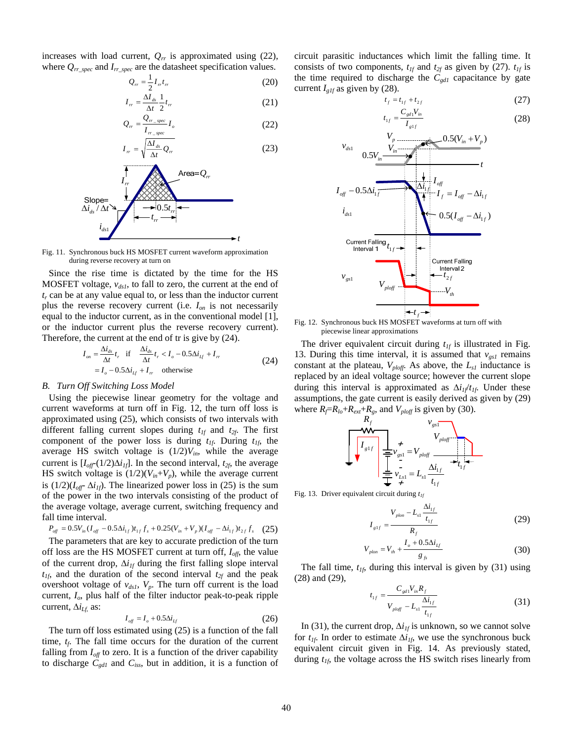increases with load current,  $Q_{rr}$  is approximated using (22), where *Qrr\_spec* and *Irr\_spec* are the datasheet specification values.

$$
Q_n = \frac{1}{2} I_n t_n \tag{20}
$$

$$
I_{rr} = \frac{\Delta I_{ds}}{\Delta t} \frac{1}{2} t_{rr} \tag{21}
$$

$$
Q_{rr} = \frac{Q_{rr\_spec}}{I_{rr\_spec}} I_o
$$
 (22)

$$
I_{rr} = \sqrt{\frac{\Delta I_{ds}}{\Delta t} Q_{rr}} \tag{23}
$$



Fig. 11. Synchronous buck HS MOSFET current waveform approximation during reverse recovery at turn on

Since the rise time is dictated by the time for the HS MOSFET voltage,  $v_{ds1}$ , to fall to zero, the current at the end of *tr* can be at any value equal to, or less than the inductor current plus the reverse recovery current (i.e. *Ion* is not necessarily equal to the inductor current, as in the conventional model [1], or the inductor current plus the reverse recovery current). Therefore, the current at the end of tr is give by (24).

$$
I_{on} = \frac{\Delta i_{ds}}{\Delta t} t_r \quad \text{if} \quad \frac{\Delta i_{ds}}{\Delta t} t_r < I_o - 0.5 \Delta i_{Lf} + I_r
$$
  
=  $I_o - 0.5 \Delta i_{Lf} + I_r$  otherwise (24)

## *B. Turn Off Switching Loss Model*

Using the piecewise linear geometry for the voltage and current waveforms at turn off in Fig. 12, the turn off loss is approximated using (25), which consists of two intervals with different falling current slopes during  $t_{1f}$  and  $t_{2f}$ . The first component of the power loss is during  $t_{1f}$ . During  $t_{1f}$ , the average HS switch voltage is  $(1/2)V_{in}$ , while the average current is  $[I_{off}-(1/2)\Delta i_{If}]$ . In the second interval,  $t_{2f}$ , the average HS switch voltage is  $(1/2)(V_{in}+V_p)$ , while the average current is  $(1/2)(I<sub>off</sub> \Delta i<sub>If</sub>)$ . The linearized power loss in (25) is the sum of the power in the two intervals consisting of the product of the average voltage, average current, switching frequency and fall time interval.

$$
P_{\text{off}} = 0.5V_{in}(I_{\text{off}} - 0.5\Delta i_{1f})t_{1f}f_s + 0.25(V_{in} + V_p)(I_{\text{off}} - \Delta i_{1f})t_{2f}f_s \quad (25)
$$

The parameters that are key to accurate prediction of the turn off loss are the HS MOSFET current at turn off, *Ioff*, the value of the current drop,  $\Delta i_{1f}$  during the first falling slope interval  $t_{1f}$ , and the duration of the second interval  $t_{2f}$  and the peak overshoot voltage of  $v_{ds1}$ ,  $V_p$ . The turn off current is the load current, *Io*, plus half of the filter inductor peak-to-peak ripple current,  $Δi<sub>Lf</sub>$  as:

$$
I_{\text{eff}} = I_o + 0.5 \Delta i_{\text{Lf}} \tag{26}
$$

The turn off loss estimated using (25) is a function of the fall time,  $t_f$ . The fall time occurs for the duration of the current falling from  $I_{off}$  to zero. It is a function of the driver capability to discharge  $C_{gdl}$  and  $C_{iss}$ , but in addition, it is a function of circuit parasitic inductances which limit the falling time. It consists of two components,  $t_{1f}$  and  $t_{2f}$  as given by (27).  $t_{1f}$  is the time required to discharge the  $C_{gdI}$  capacitance by gate current  $I_{eff}$  as given by (28).

*t*

$$
t_f = t_{1f} + t_{2f}
$$
 (27)

$$
I_{1f} = \frac{C_{gd}V_{in}}{I_{g1f}}
$$
 (28)



Fig. 12. Synchronous buck HS MOSFET waveforms at turn off with piecewise linear approximations

The driver equivalent circuit during  $t_{If}$  is illustrated in Fig. 13. During this time interval, it is assumed that  $v_{gs1}$  remains constant at the plateau,  $V_{\text{ploff}}$ . As above, the  $L_{sI}$  inductance is replaced by an ideal voltage source; however the current slope during this interval is approximated as  $\Delta i_I/t_{If}$ . Under these assumptions, the gate current is easily derived as given by (29) where  $R_f = R_{lo} + R_{ext} + R_g$ , and  $V_{p\text{loff}}$  is given by (30).



Fig. 13. Driver equivalent circuit during  $t_{1f}$ 

$$
I_{g1f} = \frac{V_{plon} - L_{s1} \frac{\Delta i_{1f}}{t_{1f}}}{R_f}
$$
 (29)

$$
V_{\text{plon}} = V_{\text{th}} + \frac{I_{\text{o}} + 0.5 \Delta i_{\text{Lf}}}{g_{\text{fs}}} \tag{30}
$$

The fall time,  $t_{1f}$ , during this interval is given by  $(31)$  using (28) and (29),

$$
t_{1f} = \frac{C_{gd1}V_{in}R_f}{V_{ploff} - L_{s1} \frac{\Delta i_{1f}}{t_{1f}}}
$$
(31)

In (31), the current drop,  $\Delta i_{1f}$  is unknown, so we cannot solve for  $t_{1f}$ . In order to estimate  $\Delta i_{1f}$ , we use the synchronous buck equivalent circuit given in Fig. 14. As previously stated, during  $t_{1f}$ , the voltage across the HS switch rises linearly from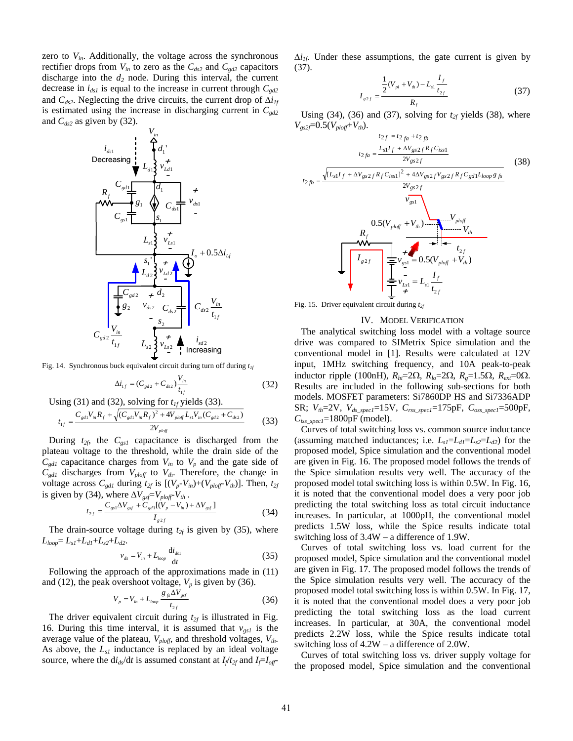zero to  $V_{in}$ . Additionally, the voltage across the synchronous rectifier drops from  $V_{in}$  to zero as the  $C_{ds2}$  and  $C_{gd2}$  capacitors discharge into the  $d_2$  node. During this interval, the current decrease in  $i_{ds}$  is equal to the increase in current through  $C_{gd2}$ and  $C_{ds2}$ . Neglecting the drive circuits, the current drop of  $\Delta i_{1f}$ is estimated using the increase in discharging current in  $C_{gd2}$ and  $C_{ds2}$  as given by (32).



Fig. 14. Synchronous buck equivalent circuit during turn off during  $t_{1f}$ 

$$
\Delta i_{1f} = (C_{gd2} + C_{ds2}) \frac{V_{in}}{t_{1f}}
$$
\n(32)

Using (31) and (32), solving for 
$$
t_{\text{lf}}
$$
 yields (33).

*t* 1

$$
I_f = \frac{C_{gd}V_{in}R_f + \sqrt{(C_{gd}V_{in}R_f)^2 + 4V_{plog}L_{sl}V_{in}(C_{gd2} + C_{ds2})}}{2V_{plog}}
$$
(33)

During  $t_{2f}$ , the  $C_{gs1}$  capacitance is discharged from the plateau voltage to the threshold, while the drain side of the  $C_{\text{gdl}}$  capacitance charges from  $V_{in}$  to  $V_p$  and the gate side of  $C_{\text{gdl}}$  discharges from  $V_{\text{ploff}}$  to  $V_{\text{th}}$ . Therefore, the change in voltage across  $C_{gdl}$  during  $t_{2f}$  is  $[(V_p - V_{in}) + (V_{p\text{log}f} - V_{th})]$ . Then,  $t_{2f}$ is given by (34), where  $\Delta V_{\text{est}} = V_{\text{ploff}} - V_{\text{th}}$ .

$$
t_{2f} = \frac{C_{gs1} \Delta V_{gsf} + C_{gd1} [(V_p - V_{in}) + \Delta V_{ggf}]}{I_{g2f}}
$$
(34)

The drain-source voltage during  $t_{2f}$  is given by (35), where  $L_{loop} = L_{sI} + L_{dI} + L_{s2} + L_{d2}.$ 

$$
v_{ds} = V_{in} + L_{loop} \frac{\mathrm{d}i_{ds1}}{\mathrm{d}t} \tag{35}
$$

Following the approach of the approximations made in (11) and (12), the peak overshoot voltage,  $V_p$  is given by (36).

$$
V_p = V_{in} + L_{loop} \frac{g_{fs} \Delta V_{ggf}}{t_{2f}}
$$
 (36)

The driver equivalent circuit during  $t_{2f}$  is illustrated in Fig. 16. During this time interval, it is assumed that  $v_{gs1}$  is the average value of the plateau,  $V_{\text{plogf}}$ , and threshold voltages,  $V_{\text{th}}$ . As above, the  $L_{sI}$  inductance is replaced by an ideal voltage source, where the  $di_{ds}/dt$  is assumed constant at  $I_f/t_{2f}$  and  $I_f=I_{off}$   $\Delta i_{1f}$ . Under these assumptions, the gate current is given by (37).

$$
I_{g2f} = \frac{\frac{1}{2}(V_{pl} + V_{th}) - L_{s1} \frac{I_f}{t_{2f}}}{R_f}
$$
(37)

Using (34), (36) and (37), solving for  $t_{2f}$  yields (38), where  $V_{gs2f}$ =0.5( $V_{p\text{loff}}$ + $V_{th}$ ).



Fig. 15. Driver equivalent circuit during  $t_{2j}$ 

## IV. MODEL VERIFICATION

The analytical switching loss model with a voltage source drive was compared to SIMetrix Spice simulation and the conventional model in [1]. Results were calculated at 12V input, 1MHz switching frequency, and 10A peak-to-peak inductor ripple (100nH), *Rhi*=2Ω, *Rlo*=2Ω, *Rg*=1.5Ω, *Rext*=0Ω. Results are included in the following sub-sections for both models. MOSFET parameters: Si7860DP HS and Si7336ADP SR; *Vth*=2V, *Vds\_spec1*=15V, *Crss\_spec1*=175pF, *Coss\_spec1*=500pF, *Ciss\_spec1*=1800pF (model).

Curves of total switching loss vs. common source inductance (assuming matched inductances; i.e.  $L_{sI} = L_{dI} = L_{s2} = L_{d2}$ ) for the proposed model, Spice simulation and the conventional model are given in Fig. 16. The proposed model follows the trends of the Spice simulation results very well. The accuracy of the proposed model total switching loss is within 0.5W. In Fig. 16, it is noted that the conventional model does a very poor job predicting the total switching loss as total circuit inductance increases. In particular, at 1000pH, the conventional model predicts 1.5W loss, while the Spice results indicate total switching loss of 3.4W – a difference of 1.9W.

Curves of total switching loss vs. load current for the proposed model, Spice simulation and the conventional model are given in Fig. 17. The proposed model follows the trends of the Spice simulation results very well. The accuracy of the proposed model total switching loss is within 0.5W. In Fig. 17, it is noted that the conventional model does a very poor job predicting the total switching loss as the load current increases. In particular, at 30A, the conventional model predicts 2.2W loss, while the Spice results indicate total switching loss of 4.2W – a difference of 2.0W.

Curves of total switching loss vs. driver supply voltage for the proposed model, Spice simulation and the conventional